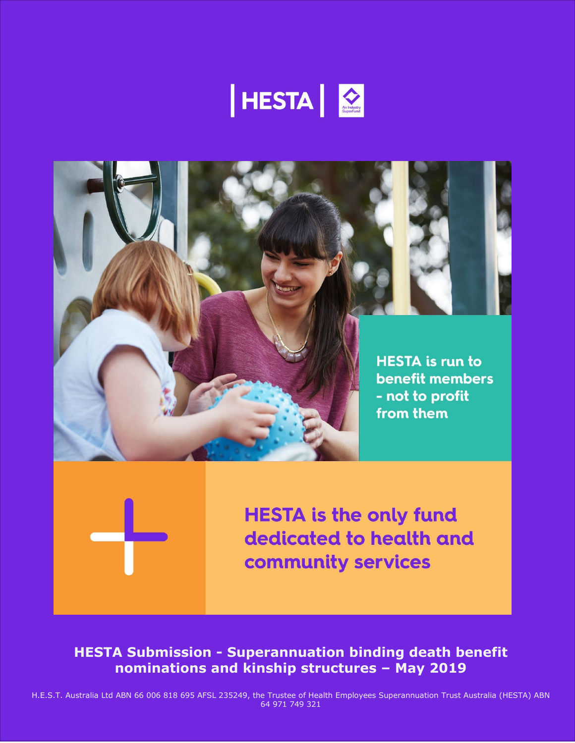





**HESTA is the only fund** dedicated to health and community services

**HESTA Submission - Superannuation binding death benefit nominations and kinship structures – May 2019**

H.E.S.T. Australia Ltd ABN 66 006 818 695 AFSL 235249, the Trustee of Health Employees Superannuation Trust Australia (HESTA) ABN 64 971 749 321